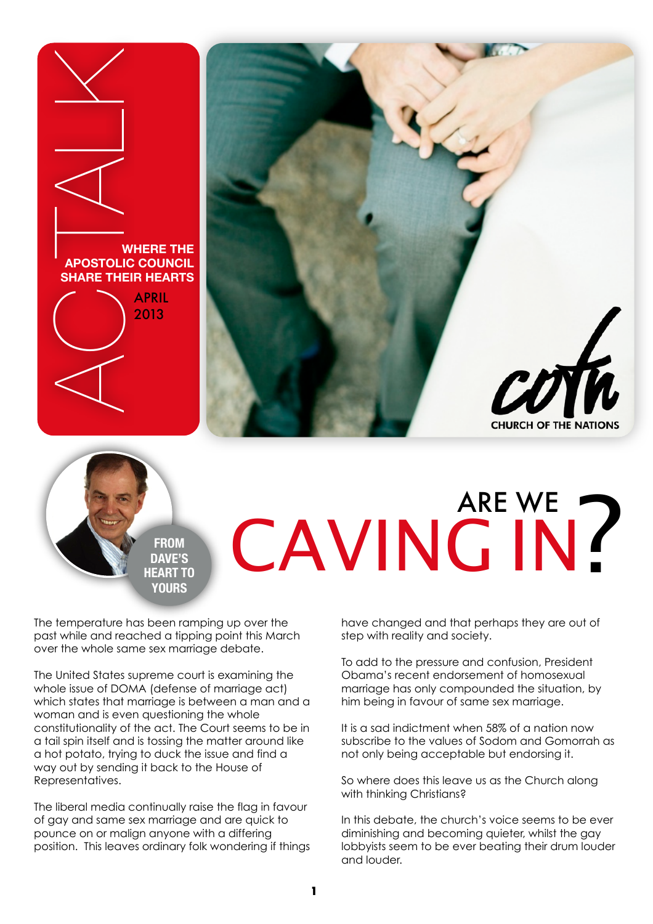



## **FROM DAVE'S HEART TO YOURS**

The temperature has been ramping up over the past while and reached a tipping point this March over the whole same sex marriage debate.

The United States supreme court is examining the whole issue of DOMA (defense of marriage act) which states that marriage is between a man and a woman and is even questioning the whole constitutionality of the act. The Court seems to be in a tail spin itself and is tossing the matter around like a hot potato, trying to duck the issue and find a way out by sending it back to the House of Representatives.

The liberal media continually raise the flag in favour of gay and same sex marriage and are quick to pounce on or malign anyone with a differing position. This leaves ordinary folk wondering if things

have changed and that perhaps they are out of step with reality and society.

CAVING IN?

ARE WE

To add to the pressure and confusion, President Obama's recent endorsement of homosexual marriage has only compounded the situation, by him being in favour of same sex marriage.

It is a sad indictment when 58% of a nation now subscribe to the values of Sodom and Gomorrah as not only being acceptable but endorsing it.

So where does this leave us as the Church along with thinking Christians?

In this debate, the church's voice seems to be ever diminishing and becoming quieter, whilst the gay lobbyists seem to be ever beating their drum louder and louder.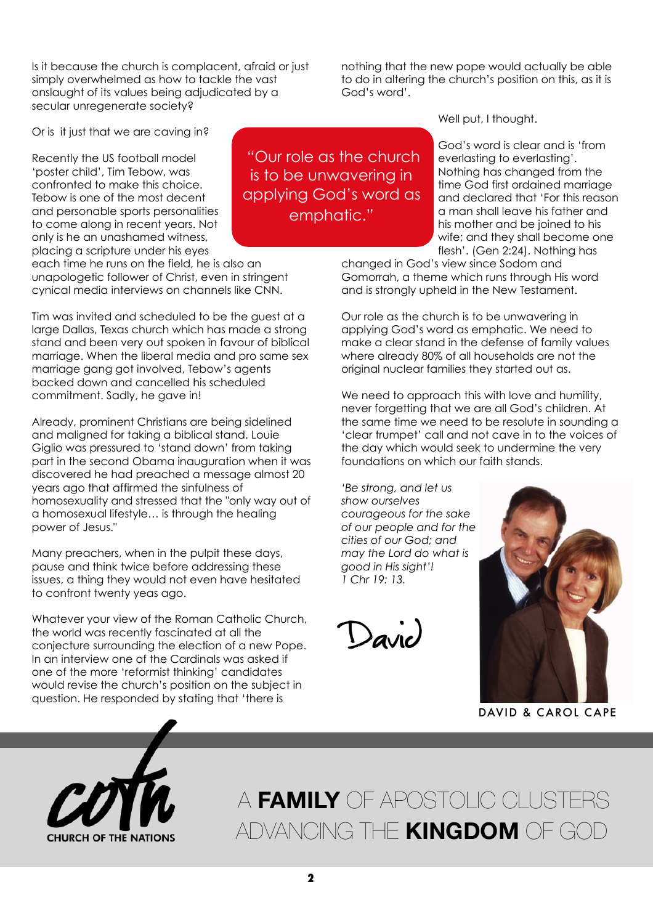Is it because the church is complacent, afraid or just simply overwhelmed as how to tackle the vast onslaught of its values being adjudicated by a secular unregenerate society?

Or is it just that we are caving in?

Recently the US football model 'poster child', Tim Tebow, was confronted to make this choice. Tebow is one of the most decent and personable sports personalities to come along in recent years. Not only is he an unashamed witness, placing a scripture under his eyes

each time he runs on the field, he is also an unapologetic follower of Christ, even in stringent cynical media interviews on channels like CNN.

Tim was invited and scheduled to be the guest at a large Dallas, Texas church which has made a strong stand and been very out spoken in favour of biblical marriage. When the liberal media and pro same sex marriage gang got involved, Tebow's agents backed down and cancelled his scheduled commitment. Sadly, he gave in!

Already, prominent Christians are being sidelined and maligned for taking a biblical stand. Louie Giglio was pressured to 'stand down' from taking part in the second Obama inauguration when it was discovered he had preached a message almost 20 years ago that affirmed the sinfulness of homosexuality and stressed that the "only way out of a homosexual lifestyle… is through the healing power of Jesus."

Many preachers, when in the pulpit these days, pause and think twice before addressing these issues, a thing they would not even have hesitated to confront twenty yeas ago.

Whatever your view of the Roman Catholic Church, the world was recently fascinated at all the conjecture surrounding the election of a new Pope. In an interview one of the Cardinals was asked if one of the more 'reformist thinking' candidates would revise the church's position on the subject in question. He responded by stating that 'there is

 "Our role as the church is to be unwavering in applying God's word as emphatic."

nothing that the new pope would actually be able to do in altering the church's position on this, as it is God's word'.

Well put, I thought.

God's word is clear and is 'from everlasting to everlasting'. Nothing has changed from the time God first ordained marriage and declared that 'For this reason a man shall leave his father and his mother and be joined to his wife; and they shall become one flesh'. (Gen 2:24). Nothing has

changed in God's view since Sodom and Gomorrah, a theme which runs through His word and is strongly upheld in the New Testament.

Our role as the church is to be unwavering in applying God's word as emphatic. We need to make a clear stand in the defense of family values where already 80% of all households are not the original nuclear families they started out as.

We need to approach this with love and humility, never forgetting that we are all God's children. At the same time we need to be resolute in sounding a 'clear trumpet' call and not cave in to the voices of the day which would seek to undermine the very foundations on which our faith stands.

*'Be strong, and let us show ourselves courageous for the sake of our people and for the cities of our God; and may the Lord do what is good in His sight'! 1 Chr 19: 13.*

 $\bigcup_{a \vee b}$ 



DAVID & CAROL CAPE



A **FAMILY** OF APOSTOLIC CLUSTERS ADVANCING THE **KINGDOM** OF GOD